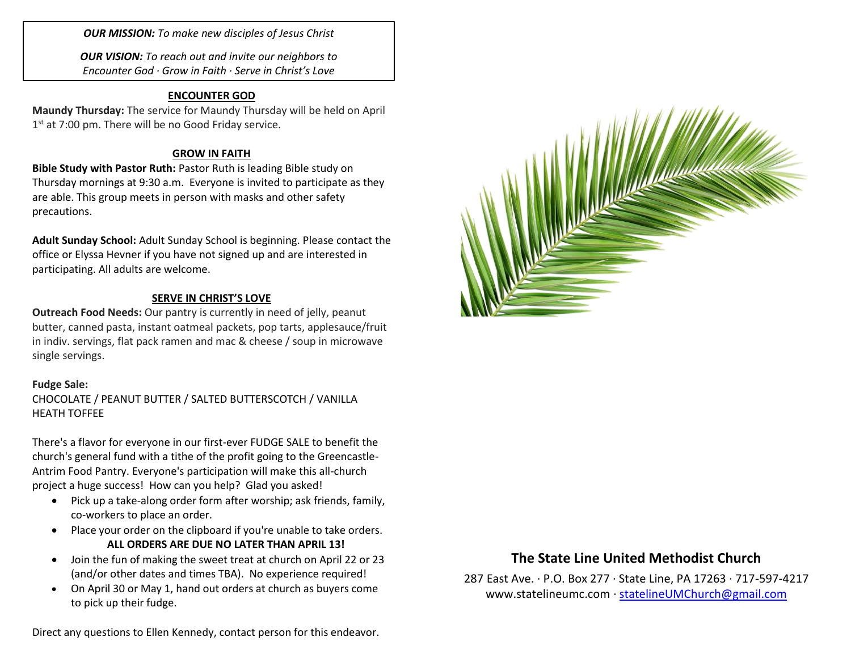*OUR MISSION: To make new disciples of Jesus Christ*

*OUR VISION: To reach out and invite our neighbors to Encounter God · Grow in Faith · Serve in Christ's Love*

### **ENCOUNTER GOD**

**Maundy Thursday:** The service for Maundy Thursday will be held on April 1<sup>st</sup> at 7:00 pm. There will be no Good Friday service.

### **GROW IN FAITH**

**Bible Study with Pastor Ruth:** Pastor Ruth is leading Bible study on Thursday mornings at 9:30 a.m. Everyone is invited to participate as they are able. This group meets in person with masks and other safety precautions.

**Adult Sunday School:** Adult Sunday School is beginning. Please contact the office or Elyssa Hevner if you have not signed up and are interested in participating. All adults are welcome.

### **SERVE IN CHRIST'S LOVE**

**Outreach Food Needs:** Our pantry is currently in need of jelly, peanut butter, canned pasta, instant oatmeal packets, pop tarts, applesauce/fruit in indiv. servings, flat pack ramen and mac & cheese / soup in microwave single servings.

### **Fudge Sale:**

CHOCOLATE / PEANUT BUTTER / SALTED BUTTERSCOTCH / VANILLA HEATH TOFFEE

There's a flavor for everyone in our first-ever FUDGE SALE to benefit the church's general fund with a tithe of the profit going to the Greencastle-Antrim Food Pantry. Everyone's participation will make this all-church project a huge success! How can you help? Glad you asked!

- Pick up a take-along order form after worship; ask friends, family, co-workers to place an order.
- Place your order on the clipboard if you're unable to take orders. **ALL ORDERS ARE DUE NO LATER THAN APRIL 13!**
- Join the fun of making the sweet treat at church on April 22 or 23 (and/or other dates and times TBA). No experience required!
- On April 30 or May 1, hand out orders at church as buyers come to pick up their fudge.

Direct any questions to Ellen Kennedy, contact person for this endeavor.



## **The State Line United Methodist Church**

287 East Ave. · P.O. Box 277 · State Line, PA 17263 · 717-597-4217 [www.statelineumc.com](http://www.statelineumc.com/) · [statelineUMChurch@gmail.com](mailto:statelineUMChurch@gmail.com)